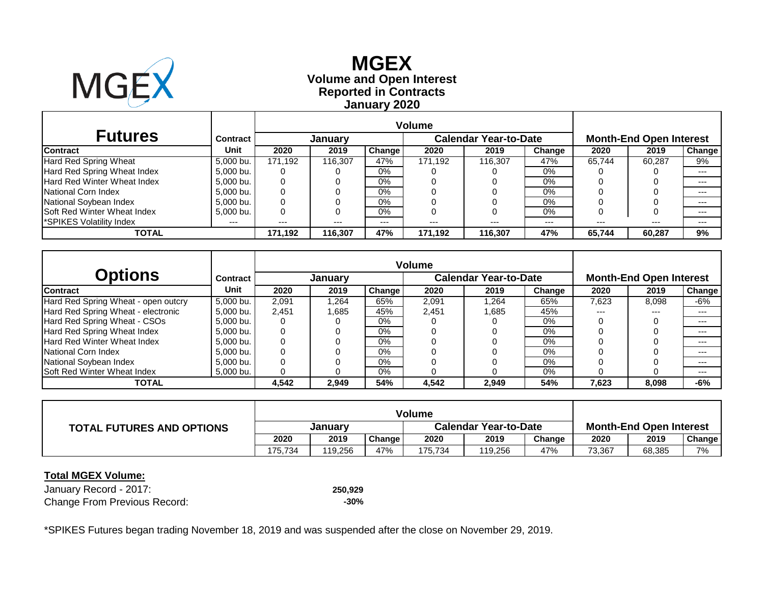

# **Reported in Contracts Volume and Open Interest MGEX January 2020**

|                                    |                 |         |                |               | <b>Volume</b> |                              |        |                                |        |               |  |
|------------------------------------|-----------------|---------|----------------|---------------|---------------|------------------------------|--------|--------------------------------|--------|---------------|--|
| <b>Futures</b>                     | <b>Contract</b> |         | <b>January</b> |               |               | <b>Calendar Year-to-Date</b> |        | <b>Month-End Open Interest</b> |        |               |  |
| <b>Contract</b>                    | Unit            | 2020    | 2019           | <b>Change</b> | 2020          | 2019                         | Change | 2020                           | 2019   | <b>Change</b> |  |
| Hard Red Spring Wheat              | 5,000 bu.       | 171.192 | 116.307        | 47%           | 171.192       | 116.307                      | 47%    | 65.744                         | 60.287 | 9%            |  |
| Hard Red Spring Wheat Index        | 5,000 bu.       | O       |                | $0\%$         |               |                              | $0\%$  |                                |        | $---$         |  |
| Hard Red Winter Wheat Index        | 5,000 bu.       | 0       |                | $0\%$         |               |                              | 0%     |                                |        | $---$         |  |
| National Corn Index                | 5,000 bu.       | 0       |                | $0\%$         |               |                              | 0%     |                                |        | $- - -$       |  |
| National Soybean Index             | 5.000 bu.       | 0       |                | $0\%$         |               |                              | $0\%$  |                                |        | ---           |  |
| <b>Soft Red Winter Wheat Index</b> | 5,000 bu.       | 0       |                | $0\%$         |               |                              | $0\%$  |                                | O      | $--$          |  |
| *SPIKES Volatility Index           | ---             | $---$   | $---$          | $---$         | ---           | $---$                        | $---$  | $---$                          | $---$  | $---$         |  |
| TOTAL                              |                 | 171.192 | 116,307        | 47%           | 171,192       | 116,307                      | 47%    | 65.744                         | 60,287 | 9%            |  |

|                                     |                 | <b>Volume</b> |                |               |       |                              |        |                                |       |        |
|-------------------------------------|-----------------|---------------|----------------|---------------|-------|------------------------------|--------|--------------------------------|-------|--------|
| <b>Options</b>                      | <b>Contract</b> |               | <b>January</b> |               |       | <b>Calendar Year-to-Date</b> |        | <b>Month-End Open Interest</b> |       |        |
| <b>Contract</b>                     | Unit            | 2020          | 2019           | <b>Change</b> | 2020  | 2019                         | Change | 2020                           | 2019  | Change |
| Hard Red Spring Wheat - open outcry | 5,000 bu.       | 2,091         | .264.          | 65%           | 2,091 | 1,264                        | 65%    | 7,623                          | 8,098 | -6%    |
| Hard Red Spring Wheat - electronic  | 5.000 bu.       | 2,451         | 1,685          | 45%           | 2,451 | 1.685                        | 45%    | ---                            | $---$ | $---$  |
| Hard Red Spring Wheat - CSOs        | 5,000 bu.       |               |                | $0\%$         |       |                              | 0%     |                                |       | $---$  |
| Hard Red Spring Wheat Index         | 5,000 bu.       |               |                | $0\%$         |       |                              | $0\%$  |                                |       | $---$  |
| Hard Red Winter Wheat Index         | 5.000 bu.       |               |                | $0\%$         |       |                              | 0%     |                                |       | $---$  |
| National Corn Index                 | 5.000 bu.       |               |                | $0\%$         |       |                              | 0%     |                                |       | $---$  |
| National Soybean Index              | 5,000 bu.       |               |                | $0\%$         |       |                              | 0%     |                                |       | $---$  |
| <b>Soft Red Winter Wheat Index</b>  | 5,000 bu.       |               |                | $0\%$         |       |                              | 0%     |                                |       | $---$  |
| <b>TOTAL</b>                        |                 | 4,542         | 2,949          | 54%           | 4,542 | 2,949                        | 54%    | 7,623                          | 8,098 | -6%    |

| <b>TOTAL FUTURES AND OPTIONS</b> | January |         |        | <b>Calendar Year-to-Date</b> |         |        | <b>Month-End Open Interest</b> |        |        |
|----------------------------------|---------|---------|--------|------------------------------|---------|--------|--------------------------------|--------|--------|
|                                  | 2020    | 2019    | Change | 2020                         | 2019    | Change | 2020                           | 2019   | Change |
|                                  | 175.734 | 119.256 | 47%    | 175.734                      | 119,256 | 47%    | 73,367                         | 68,385 | 7%     |

#### **Total MGEX Volume:**

January Record - 2017: **250,929** Change From Previous Record: **2009 -30%**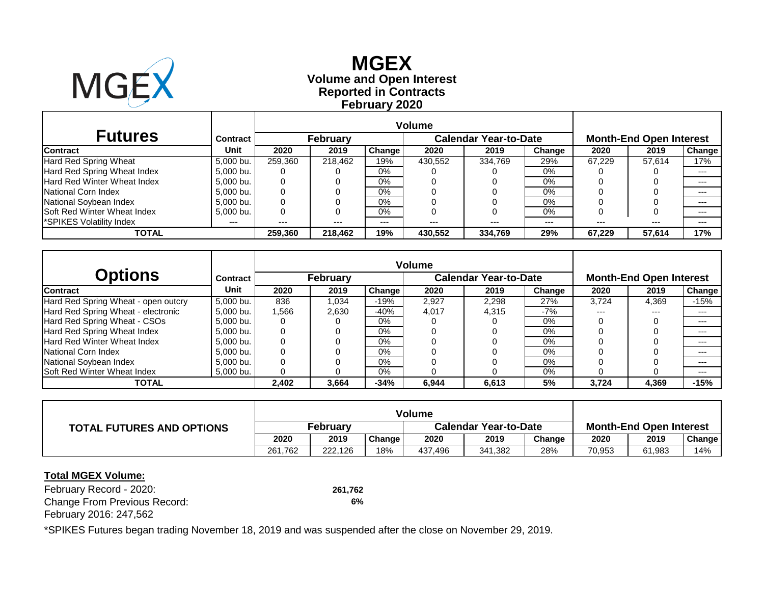

# **Reported in Contracts Volume and Open Interest MGEX February 2020**

| <b>Futures</b>                     | <b>Contract</b> |         | <b>February</b> |               |         | <b>Calendar Year-to-Date</b> |        | <b>Month-End Open Interest</b> |        |               |  |
|------------------------------------|-----------------|---------|-----------------|---------------|---------|------------------------------|--------|--------------------------------|--------|---------------|--|
| <b>Contract</b>                    | Unit            | 2020    | 2019            | <b>Change</b> | 2020    | 2019                         | Change | 2020                           | 2019   | <b>Change</b> |  |
| Hard Red Spring Wheat              | 5,000 bu.       | 259.360 | 218.462         | 19%           | 430,552 | 334.769                      | 29%    | 67.229                         | 57.614 | 17%           |  |
| Hard Red Spring Wheat Index        | 5,000 bu.       | O       |                 | $0\%$         |         |                              | 0%     |                                |        | $---$         |  |
| Hard Red Winter Wheat Index        | 5,000 bu.       | 0       |                 | $0\%$         |         |                              | 0%     |                                |        | $---$         |  |
| National Corn Index                | 5,000 bu.       | 0       |                 | $0\%$         |         |                              | 0%     |                                |        | $- - -$       |  |
| National Soybean Index             | 5.000 bu.       | 0       |                 | $0\%$         |         |                              | $0\%$  |                                |        | ---           |  |
| <b>Soft Red Winter Wheat Index</b> | 5,000 bu.       | 0       |                 | $0\%$         |         |                              | $0\%$  |                                | O      | $- - -$       |  |
| *SPIKES Volatility Index           | ---             | $---$   | $---$           | $---$         | ---     | $---$                        | $---$  | $---$                          | $---$  | $---$         |  |
| TOTAL                              |                 | 259.360 | 218,462         | 19%           | 430,552 | 334,769                      | 29%    | 67.229                         | 57,614 | 17%           |  |

|                                     |                 | <b>Volume</b> |                 |        |       |                              |        |                                |       |        |  |
|-------------------------------------|-----------------|---------------|-----------------|--------|-------|------------------------------|--------|--------------------------------|-------|--------|--|
| <b>Options</b>                      | <b>Contract</b> |               | <b>February</b> |        |       | <b>Calendar Year-to-Date</b> |        | <b>Month-End Open Interest</b> |       |        |  |
| <b>Contract</b>                     | <b>Unit</b>     | 2020          | 2019            | Change | 2020  | 2019                         | Change | 2020                           | 2019  | Change |  |
| Hard Red Spring Wheat - open outcry | 5.000 bu.       | 836           | 1,034           | $-19%$ | 2,927 | 2,298                        | 27%    | 3.724                          | 4,369 | $-15%$ |  |
| Hard Red Spring Wheat - electronic  | 5.000 bu.       | 1,566         | 2,630           | $-40%$ | 4.017 | 4.315                        | $-7%$  | ---                            | $---$ | $---$  |  |
| Hard Red Spring Wheat - CSOs        | 5,000 bu.       |               |                 | $0\%$  |       |                              | 0%     |                                |       | $---$  |  |
| Hard Red Spring Wheat Index         | 5.000 bu.       |               |                 | $0\%$  |       |                              | $0\%$  |                                |       | $---$  |  |
| Hard Red Winter Wheat Index         | 5.000 bu.       |               |                 | $0\%$  |       |                              | $0\%$  |                                |       | $---$  |  |
| National Corn Index                 | 5,000 bu.       |               |                 | $0\%$  |       |                              | 0%     |                                |       | $---$  |  |
| National Soybean Index              | 5,000 bu.       |               |                 | $0\%$  |       |                              | 0%     |                                |       | $---$  |  |
| <b>Soft Red Winter Wheat Index</b>  | 5,000 bu.       |               |                 | $0\%$  |       |                              | 0%     |                                |       | $---$  |  |
| <b>TOTAL</b>                        |                 | 2,402         | 3,664           | $-34%$ | 6,944 | 6,613                        | 5%     | 3,724                          | 4,369 | $-15%$ |  |

| <b>TOTAL FUTURES AND OPTIONS</b> | February |         |                     |         | <b>Calendar Year-to-Date</b> | <b>Month-End Open Interest</b> |        |        |        |
|----------------------------------|----------|---------|---------------------|---------|------------------------------|--------------------------------|--------|--------|--------|
|                                  | 2020     | 2019    | Change <sub>1</sub> | 2020    | 2019                         | Change                         | 2020   | 2019   | Change |
|                                  | 261.762  | 222.126 | 18%                 | 437,496 | 341,382                      | 28%                            | 70,953 | 61,983 | 14%    |

#### **Total MGEX Volume:**

February Record - 2020: **261,762** Change From Previous Record: **6%** February 2016: 247,562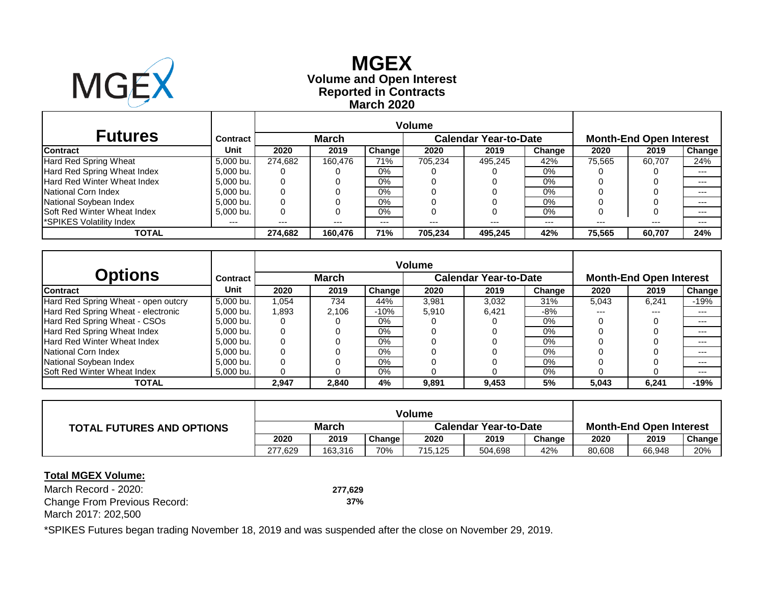

# **Reported in Contracts Volume and Open Interest MGEX March 2020**

|                                      |                 |         |              |               | <b>Volume</b> |                              |         |                                |        |               |  |
|--------------------------------------|-----------------|---------|--------------|---------------|---------------|------------------------------|---------|--------------------------------|--------|---------------|--|
| <b>Futures</b>                       | <b>Contract</b> |         | <b>March</b> |               |               | <b>Calendar Year-to-Date</b> |         | <b>Month-End Open Interest</b> |        |               |  |
| <b>Contract</b>                      | Unit            | 2020    | 2019         | <b>Change</b> | 2020          | 2019                         | Change  | 2020                           | 2019   | <b>Change</b> |  |
| Hard Red Spring Wheat                | 5,000 bu.       | 274.682 | 160.476      | 71%           | 705.234       | 495.245                      | 42%     | 75,565                         | 60.707 | 24%           |  |
| Hard Red Spring Wheat Index          | 5.000 bu.       |         |              | $0\%$         |               |                              | 0%      |                                |        | $- - -$       |  |
| Hard Red Winter Wheat Index          | 5,000 bu.       | 0       |              | $0\%$         |               |                              | $0\%$   |                                |        | $---$         |  |
| National Corn Index                  | 5.000 bu.       | 0       |              | $0\%$         |               |                              | $0\%$   |                                |        | $---$         |  |
| National Soybean Index               | 5.000 bu.       | 0       |              | $0\%$         |               |                              | $0\%$   |                                |        | $- - -$       |  |
| <b>Soft Red Winter Wheat Index</b>   | 5,000 bu.       | 0       |              | $0\%$         |               |                              | 0%      |                                | 0      | $- - -$       |  |
| SPIKES Volatility Index <sup>1</sup> | ---             | $---$   | $---$        | $---$         | $---$         | $- - -$                      | $- - -$ | $---$                          | $---$  | $- - -$       |  |
| <b>TOTAL</b>                         |                 | 274.682 | 160.476      | 71%           | 705.234       | 495.245                      | 42%     | 75.565                         | 60.707 | 24%           |  |

|                                     |           | <b>Volume</b> |              |               |       |                              |        |                                |       |               |  |
|-------------------------------------|-----------|---------------|--------------|---------------|-------|------------------------------|--------|--------------------------------|-------|---------------|--|
| <b>Options</b>                      | Contract  |               | <b>March</b> |               |       | <b>Calendar Year-to-Date</b> |        | <b>Month-End Open Interest</b> |       |               |  |
| <b>Contract</b>                     | Unit      | 2020          | 2019         | <b>Change</b> | 2020  | 2019                         | Change | 2020                           | 2019  | <b>Change</b> |  |
| Hard Red Spring Wheat - open outcry | 5,000 bu. | 1.054         | 734          | 44%           | 3,981 | 3,032                        | 31%    | 5,043                          | 6,241 | $-19%$        |  |
| Hard Red Spring Wheat - electronic  | 5.000 bu. | 1,893         | 2.106        | $-10%$        | 5,910 | 6.421                        | -8%    | ---                            | $---$ | $---$         |  |
| Hard Red Spring Wheat - CSOs        | 5,000 bu. |               |              | 0%            |       |                              | $0\%$  |                                |       | $---$         |  |
| Hard Red Spring Wheat Index         | 5,000 bu. |               |              | $0\%$         |       |                              | $0\%$  |                                |       | $---$         |  |
| Hard Red Winter Wheat Index         | 5.000 bu. |               |              | $0\%$         |       |                              | 0%     |                                |       | $---$         |  |
| National Corn Index                 | 5,000 bu. |               |              | $0\%$         |       |                              | 0%     |                                |       | $---$         |  |
| National Soybean Index              | 5,000 bu. |               |              | $0\%$         |       |                              | 0%     |                                |       | $---$         |  |
| <b>Soft Red Winter Wheat Index</b>  | 5,000 bu. |               |              | $0\%$         |       |                              | $0\%$  |                                |       | $---$         |  |
| <b>TOTAL</b>                        |           | 2,947         | 2,840        | 4%            | 9,891 | 9,453                        | 5%     | 5.043                          | 6,241 | $-19%$        |  |

| <b>TOTAL FUTURES AND OPTIONS</b> | <b>March</b> |         |        | <b>Calendar Year-to-Date</b> |         |        | <b>Month-End Open Interest</b> |        |        |  |
|----------------------------------|--------------|---------|--------|------------------------------|---------|--------|--------------------------------|--------|--------|--|
|                                  | 2020         | 2019    | Change | 2020                         | 2019    | Change | 2020                           | 2019   | Change |  |
|                                  | 277.629      | 163.316 | 70%    | 715,125                      | 504,698 | 42%    | 80,608                         | 66,948 | 20%    |  |

#### **Total MGEX Volume:**

March Record - 2020: **277,629** Change From Previous Record: **37%** March 2017: 202,500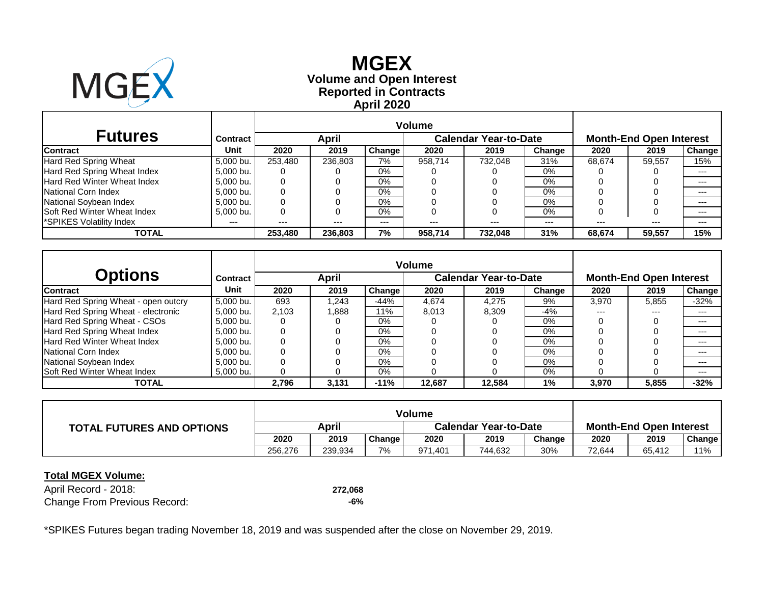

# **Reported in Contracts Volume and Open Interest MGEX April 2020**

|                                      |                 | <b>Volume</b> |         |               |                              |         |         |                                |        |               |
|--------------------------------------|-----------------|---------------|---------|---------------|------------------------------|---------|---------|--------------------------------|--------|---------------|
| <b>Futures</b>                       | <b>Contract</b> |               | April   |               | <b>Calendar Year-to-Date</b> |         |         | <b>Month-End Open Interest</b> |        |               |
| <b>Contract</b>                      | Unit            | 2020          | 2019    | <b>Change</b> | 2020                         | 2019    | Change  | 2020                           | 2019   | <b>Change</b> |
| Hard Red Spring Wheat                | 5,000 bu.       | 253,480       | 236.803 | 7%            | 958.714                      | 732.048 | 31%     | 68.674                         | 59,557 | 15%           |
| Hard Red Spring Wheat Index          | 5.000 bu.       |               |         | $0\%$         |                              |         | 0%      |                                |        | $---$         |
| Hard Red Winter Wheat Index          | 5,000 bu.       | 0             |         | $0\%$         |                              |         | $0\%$   |                                |        | $---$         |
| National Corn Index                  | 5.000 bu.       | 0             |         | $0\%$         |                              |         | $0\%$   |                                |        | $---$         |
| National Soybean Index               | 5.000 bu.       | 0             |         | $0\%$         |                              |         | $0\%$   |                                |        | $- - -$       |
| <b>Soft Red Winter Wheat Index</b>   | 5,000 bu.       | 0             |         | $0\%$         |                              |         | 0%      |                                | 0      | $- - -$       |
| SPIKES Volatility Index <sup>1</sup> | ---             | $---$         | $---$   | $---$         | $---$                        | $- - -$ | $- - -$ | $---$                          | $---$  | $- - -$       |
| <b>TOTAL</b>                         |                 | 253,480       | 236,803 | 7%            | 958.714                      | 732,048 | 31%     | 68.674                         | 59.557 | 15%           |

|                                     |                 | <b>Volume</b> |        |               |        |                              |        |                                |       |        |  |
|-------------------------------------|-----------------|---------------|--------|---------------|--------|------------------------------|--------|--------------------------------|-------|--------|--|
| <b>Options</b>                      | <b>Contract</b> |               | April  |               |        | <b>Calendar Year-to-Date</b> |        | <b>Month-End Open Interest</b> |       |        |  |
| <b>Contract</b>                     | Unit            | 2020          | 2019   | <b>Change</b> | 2020   | 2019                         | Change | 2020                           | 2019  | Change |  |
| Hard Red Spring Wheat - open outcry | 5,000 bu.       | 693           | 243. ا | $-44%$        | 4,674  | 4,275                        | 9%     | 3,970                          | 5,855 | $-32%$ |  |
| Hard Red Spring Wheat - electronic  | 5.000 bu.       | 2.103         | 888.1  | 11%           | 8,013  | 8.309                        | -4%    | ---                            | $---$ | $---$  |  |
| Hard Red Spring Wheat - CSOs        | 5,000 bu.       |               |        | $0\%$         |        |                              | 0%     |                                |       | $---$  |  |
| Hard Red Spring Wheat Index         | 5,000 bu.       |               |        | $0\%$         |        |                              | $0\%$  |                                |       | $---$  |  |
| Hard Red Winter Wheat Index         | 5.000 bu.       |               |        | $0\%$         |        |                              | 0%     |                                |       | $---$  |  |
| National Corn Index                 | 5.000 bu.       |               |        | $0\%$         |        |                              | 0%     |                                |       | $---$  |  |
| National Soybean Index              | 5,000 bu.       |               |        | $0\%$         |        |                              | 0%     |                                |       | $---$  |  |
| <b>Soft Red Winter Wheat Index</b>  | 5,000 bu.       |               |        | $0\%$         |        |                              | 0%     |                                |       | $---$  |  |
| <b>TOTAL</b>                        |                 | 2,796         | 3,131  | $-11%$        | 12,687 | 12.584                       | 1%     | 3,970                          | 5,855 | -32%   |  |

| <b>TOTAL FUTURES AND OPTIONS</b> | April   |         |               | <b>Calendar Year-to-Date</b> |         |        | <b>Month-End Open Interest</b> |        |        |  |
|----------------------------------|---------|---------|---------------|------------------------------|---------|--------|--------------------------------|--------|--------|--|
|                                  | 2020    | 2019    | <b>Change</b> | 2020                         | 2019    | Change | 2020                           | 2019   | Change |  |
|                                  | 256.276 | 239,934 | 7%            | 971,401                      | 744,632 | 30%    | 72,644                         | 65,412 | 11%    |  |

### **Total MGEX Volume:**

April Record - 2018: **272,068** Change From Previous Record: **-6%**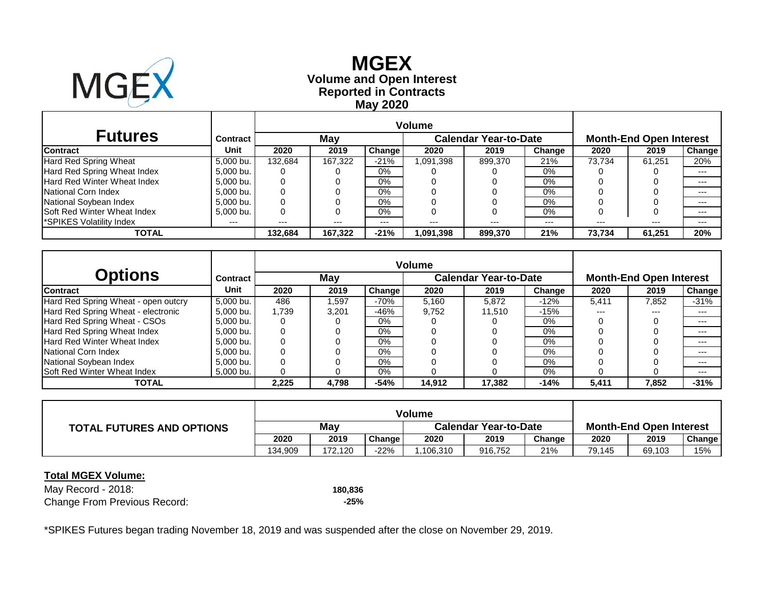

# **Reported in Contracts Volume and Open Interest MGEX May 2020**

| <b>Futures</b>                     | <b>Contract</b> |         | May     |        |          | <b>Calendar Year-to-Date</b> | <b>Month-End Open Interest</b> |        |        |         |
|------------------------------------|-----------------|---------|---------|--------|----------|------------------------------|--------------------------------|--------|--------|---------|
| <b>Contract</b>                    | Unit            | 2020    | 2019    | Change | 2020     | 2019                         | Change                         | 2020   | 2019   | Change  |
| <b>Hard Red Spring Wheat</b>       | 5,000 bu.       | 132.684 | 167.322 | $-21%$ | ,091,398 | 899,370                      | 21%                            | 73.734 | 61.251 | 20%     |
| Hard Red Spring Wheat Index        | 5.000 bu.       | 0       |         | $0\%$  |          |                              | 0%                             |        |        | $---$   |
| Hard Red Winter Wheat Index        | 5,000 bu.       | 0       |         | 0%     |          |                              | 0%                             |        |        | $---$   |
| National Corn Index                | 5.000 bu.       | 0       |         | $0\%$  |          |                              | 0%                             |        |        | $---$   |
| National Soybean Index             | 5.000 bu.       | 0       |         | $0\%$  |          |                              | 0%                             |        |        | $---$   |
| <b>Soft Red Winter Wheat Index</b> | 5,000 bu.       | 0       |         | 0%     |          |                              | 0%                             |        |        | $- - -$ |
| <b>SPIKES Volatility Index*</b>    | $---$           | $---$   | $---$   | $---$  | ---      | $- - -$                      | ---                            | $---$  | $---$  | $---$   |
| TOTAL                              |                 | 132.684 | 167.322 | $-21%$ | .091.398 | 899.370                      | 21%                            | 73.734 | 61,251 | 20%     |

|                                     |                 |       | <b>Volume</b> |               |        |                              |        |                                |       |               |  |
|-------------------------------------|-----------------|-------|---------------|---------------|--------|------------------------------|--------|--------------------------------|-------|---------------|--|
| Options                             | <b>Contract</b> |       | May           |               |        | <b>Calendar Year-to-Date</b> |        | <b>Month-End Open Interest</b> |       |               |  |
| <b>Contract</b>                     | <b>Unit</b>     | 2020  | 2019          | <b>Change</b> | 2020   | 2019                         | Change | 2020                           | 2019  | <b>Change</b> |  |
| Hard Red Spring Wheat - open outcry | 5,000 bu.       | 486   | 597,          | $-70%$        | 5,160  | 5,872                        | $-12%$ | 5,411                          | 7,852 | $-31%$        |  |
| Hard Red Spring Wheat - electronic  | 5.000 bu.       | 1.739 | 3,201         | $-46%$        | 9.752  | 11.510                       | $-15%$ | $- - -$                        | $---$ | $---$         |  |
| Hard Red Spring Wheat - CSOs        | 5,000 bu.       |       |               | $0\%$         |        |                              | 0%     |                                |       | $---$         |  |
| Hard Red Spring Wheat Index         | 5.000 bu.       |       |               | $0\%$         |        |                              | 0%     |                                |       | $---$         |  |
| <b>Hard Red Winter Wheat Index</b>  | 5.000 bu.       |       |               | $0\%$         |        |                              | 0%     |                                |       | $---$         |  |
| National Corn Index                 | 5,000 bu.       |       |               | $0\%$         |        |                              | $0\%$  |                                |       | $---$         |  |
| National Soybean Index              | 5,000 bu.       |       |               | $0\%$         |        |                              | 0%     |                                |       | $---$         |  |
| Soft Red Winter Wheat Index         | 5,000 bu.       |       |               | $0\%$         |        |                              | 0%     |                                |       | $---$         |  |
| <b>TOTAL</b>                        |                 | 2.225 | 4,798         | $-54%$        | 14.912 | 17.382                       | $-14%$ | 5,411                          | 7,852 | $-31%$        |  |

| <b>TOTAL FUTURES AND OPTIONS</b> | Mav     |         |               | <b>Calendar Year-to-Date</b> |         |        | <b>Month-End Open Interest</b> |        |        |
|----------------------------------|---------|---------|---------------|------------------------------|---------|--------|--------------------------------|--------|--------|
|                                  | 2020    | 2019    | <b>Change</b> | 2020                         | 2019    | Change | 2020                           | 2019   | Change |
|                                  | 134.909 | 172.120 | $-22\%$       | .106.310                     | 916,752 | 21%    | 79.145                         | 69,103 | 15%    |

### **Total MGEX Volume:**

May Record - 2018: **180,836** Change From Previous Record: **-25%**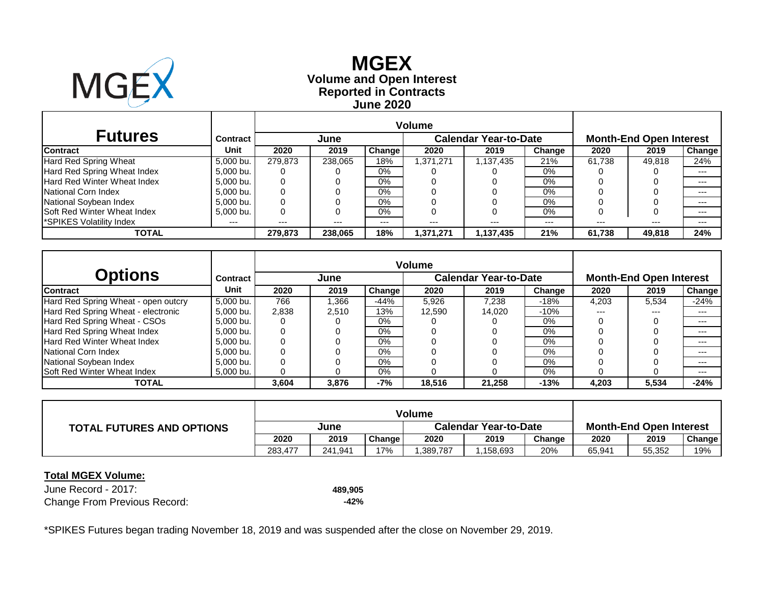

**Reported in Contracts Volume and Open Interest MGEX June 2020**

| <b>Futures</b>                     | <b>Contract</b> |         | June    |        |           | <b>Calendar Year-to-Date</b> |        | <b>Month-End Open Interest</b> |        |        |  |
|------------------------------------|-----------------|---------|---------|--------|-----------|------------------------------|--------|--------------------------------|--------|--------|--|
| <b>Contract</b>                    | Unit            | 2020    | 2019    | Change | 2020      | 2019                         | Change | 2020                           | 2019   | Change |  |
| Hard Red Spring Wheat              | 5,000 bu.       | 279.873 | 238.065 | 18%    | 1.371.271 | 1,137,435                    | 21%    | 61.738                         | 49.818 | 24%    |  |
| Hard Red Spring Wheat Index        | 5,000 bu.       | O       |         | $0\%$  |           |                              | 0%     |                                |        | $---$  |  |
| <b>Hard Red Winter Wheat Index</b> | 5,000 bu.       | 0       |         | $0\%$  |           |                              | $0\%$  |                                |        | $---$  |  |
| National Corn Index                | 5,000 bu.       |         |         | $0\%$  |           |                              | $0\%$  |                                |        | ---    |  |
| National Soybean Index             | 5.000 bu.       | 0       |         | 0%     |           |                              | 0%     |                                |        | ---    |  |
| <b>Soft Red Winter Wheat Index</b> | 5,000 bu.       | 0       |         | 0%     |           |                              | 0%     |                                |        | ---    |  |
| SPIKES Volatility Index            | $---$           | $---$   | $---$   | ---    | ---       | $---$                        | $---$  | ---                            | $---$  | ---    |  |
| TOTAL                              |                 | 279.873 | 238,065 | 18%    | 1,371,271 | 1,137,435                    | 21%    | 61.738                         | 49,818 | 24%    |  |

| Options                             | <b>Contract</b> |       | June  |               |        | <b>Calendar Year-to-Date</b> |        | <b>Month-End Open Interest</b> |       |        |  |
|-------------------------------------|-----------------|-------|-------|---------------|--------|------------------------------|--------|--------------------------------|-------|--------|--|
| <b>Contract</b>                     | <b>Unit</b>     | 2020  | 2019  | <b>Change</b> | 2020   | 2019                         | Change | 2020                           | 2019  | Change |  |
| Hard Red Spring Wheat - open outcry | 5.000 bu.       | 766   | 366,  | $-44%$        | 5,926  | 7,238                        | -18%   | 4,203                          | 5,534 | $-24%$ |  |
| Hard Red Spring Wheat - electronic  | 5.000 bu.       | 2.838 | 2.510 | 13%           | 12,590 | 14.020                       | $-10%$ | ---                            | $---$ | $---$  |  |
| Hard Red Spring Wheat - CSOs        | 5,000 bu.       |       |       | $0\%$         |        |                              | 0%     |                                |       | $---$  |  |
| Hard Red Spring Wheat Index         | 5.000 bu.       |       |       | $0\%$         |        |                              | $0\%$  |                                |       | $---$  |  |
| <b>Hard Red Winter Wheat Index</b>  | 5.000 bu.       |       |       | $0\%$         |        |                              | 0%     |                                |       | $---$  |  |
| National Corn Index                 | 5,000 bu.       |       |       | $0\%$         |        |                              | 0%     |                                |       | $---$  |  |
| National Soybean Index              | 5,000 bu.       |       |       | $0\%$         |        |                              | 0%     |                                |       | $---$  |  |
| <b>Soft Red Winter Wheat Index</b>  | 5,000 bu.       |       |       | $0\%$         |        |                              | 0%     |                                |       | ---    |  |
| <b>TOTAL</b>                        |                 | 3.604 | 3,876 | -7%           | 18,516 | 21.258                       | $-13%$ | 4.203                          | 5,534 | $-24%$ |  |

| <b>TOTAL FUTURES AND OPTIONS</b> | June    |         |        |          | <b>Calendar Year-to-Date</b> | <b>Month-End Open Interest</b> |        |        |        |
|----------------------------------|---------|---------|--------|----------|------------------------------|--------------------------------|--------|--------|--------|
|                                  | 2020    | 2019    | Change | 2020     | 2019                         | Change                         | 2020   | 2019   | Change |
|                                  | 283.477 | 241.941 | 17%    | .389,787 | .158,693                     | 20%                            | 65,941 | 55,352 | 19%    |

#### **Total MGEX Volume:**

June Record - 2017: **489,905** Change From Previous Record: **-42%**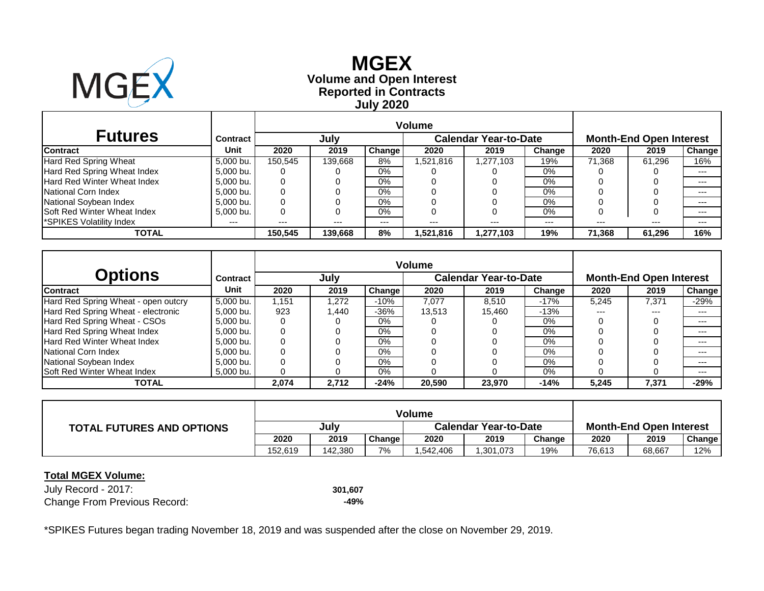

**Reported in Contracts Volume and Open Interest MGEX July 2020**

|                                    |                 | <b>Volume</b> |         |        |                              |           |        |                                |        |        |  |
|------------------------------------|-----------------|---------------|---------|--------|------------------------------|-----------|--------|--------------------------------|--------|--------|--|
| <b>Futures</b>                     | <b>Contract</b> |               | July    |        | <b>Calendar Year-to-Date</b> |           |        | <b>Month-End Open Interest</b> |        |        |  |
| <b>Contract</b>                    | Unit            | 2020          | 2019    | Change | 2020                         | 2019      | Change | 2020                           | 2019   | Change |  |
| Hard Red Spring Wheat              | 5,000 bu.       | 150.545       | 139.668 | 8%     | 1,521,816                    | 1,277,103 | 19%    | 71.368                         | 61.296 | 16%    |  |
| Hard Red Spring Wheat Index        | 5,000 bu.       | O             |         | $0\%$  |                              |           | 0%     |                                |        | $---$  |  |
| <b>Hard Red Winter Wheat Index</b> | 5,000 bu.       | 0             |         | $0\%$  |                              |           | $0\%$  |                                |        | $---$  |  |
| National Corn Index                | 5,000 bu.       |               |         | $0\%$  |                              |           | 0%     |                                |        | ---    |  |
| National Soybean Index             | 5.000 bu.       | 0             |         | 0%     |                              |           | 0%     |                                |        | ---    |  |
| <b>Soft Red Winter Wheat Index</b> | 5,000 bu.       | 0             |         | 0%     |                              |           | 0%     |                                |        | ---    |  |
| SPIKES Volatility Index            | $---$           | $---$         | $---$   | ---    | ---                          | $---$     | $---$  | ---                            | $---$  | ---    |  |
| TOTAL                              |                 | 150.545       | 139,668 | 8%     | 1,521,816                    | 1,277,103 | 19%    | 71.368                         | 61.296 | 16%    |  |

| <b>Options</b>                      | Contract  |       | July   |               |        | <b>Calendar Year-to-Date</b> |        | <b>Month-End Open Interest</b> |       |        |  |
|-------------------------------------|-----------|-------|--------|---------------|--------|------------------------------|--------|--------------------------------|-------|--------|--|
| <b>Contract</b>                     | Unit      | 2020  | 2019   | <b>Change</b> | 2020   | 2019                         | Change | 2020                           | 2019  | Change |  |
| Hard Red Spring Wheat - open outcry | 5.000 bu. | 1.151 | 1.272  | $-10%$        | 7.077  | 8.510                        | $-17%$ | 5,245                          | 7,371 | $-29%$ |  |
| Hard Red Spring Wheat - electronic  | 5.000 bu. | 923   | 440. ا | $-36%$        | 13.513 | 15.460                       | $-13%$ | $- - -$                        | ---   | $---$  |  |
| Hard Red Spring Wheat - CSOs        | 5,000 bu. | 0     |        | 0%            |        |                              | 0%     |                                |       | $---$  |  |
| Hard Red Spring Wheat Index         | 5.000 bu. | 0     |        | $0\%$         |        |                              | 0%     |                                |       | $---$  |  |
| Hard Red Winter Wheat Index         | 5.000 bu. |       |        | $0\%$         |        |                              | $0\%$  |                                |       | $---$  |  |
| National Corn Index                 | 5,000 bu. | 0     |        | $0\%$         |        |                              | 0%     |                                |       | $---$  |  |
| National Soybean Index              | 5,000 bu. |       |        | 0%            |        |                              | 0%     |                                |       | $---$  |  |
| Soft Red Winter Wheat Index         | 5,000 bu. |       |        | $0\%$         |        |                              | $0\%$  |                                |       | ---    |  |
| <b>TOTAL</b>                        |           | 2.074 | 2.712  | $-24%$        | 20.590 | 23.970                       | $-14%$ | 5,245                          | 7,371 | $-29%$ |  |

|                                  |         |         |        | Volume                       |          |        |                                |        |        |  |
|----------------------------------|---------|---------|--------|------------------------------|----------|--------|--------------------------------|--------|--------|--|
| <b>TOTAL FUTURES AND OPTIONS</b> | July    |         |        | <b>Calendar Year-to-Date</b> |          |        | <b>Month-End Open Interest</b> |        |        |  |
|                                  | 2020    | 2019    | Change | 2020                         | 2019     | Change | 2020                           | 2019   | Change |  |
|                                  | 152.619 | 142,380 | 7%     | .542,406                     | .301,073 | 19%    | 76,613                         | 68,667 | 12%    |  |

#### **Total MGEX Volume:**

July Record - 2017: **301,607** Change From Previous Record: **-49%**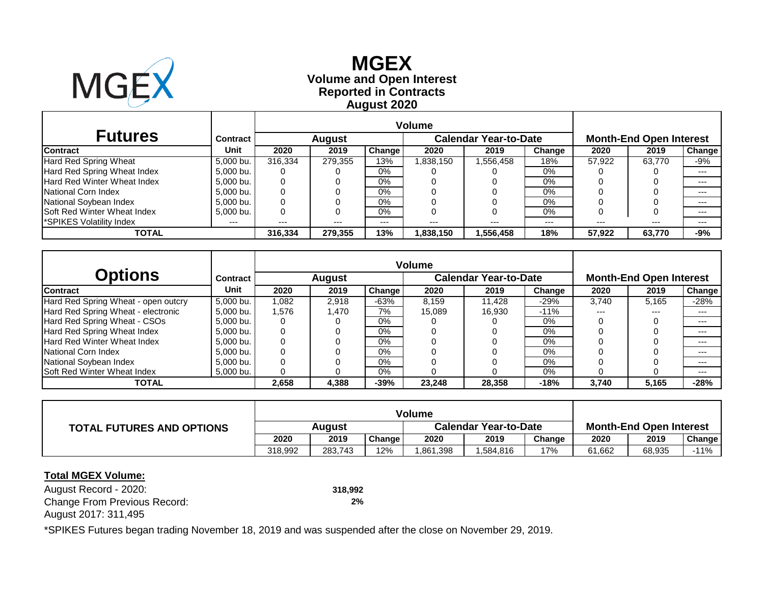

# **Reported in Contracts Volume and Open Interest MGEX August 2020**

| <b>Futures</b>                     | Contract  |              | <b>August</b> |        | <b>Calendar Year-to-Date</b> |          |        | <b>Month-End Open Interest</b> |        |        |  |
|------------------------------------|-----------|--------------|---------------|--------|------------------------------|----------|--------|--------------------------------|--------|--------|--|
| <b>Contract</b>                    | Unit      | 2020         | 2019          | Change | 2020                         | 2019     | Change | 2020                           | 2019   | Change |  |
| Hard Red Spring Wheat              | 5,000 bu. | 316.334      | 279.355       | 13%    | 1,838,150                    | .556,458 | 18%    | 57.922                         | 63.770 | -9%    |  |
| Hard Red Spring Wheat Index        | 5,000 bu. | $\mathbf{U}$ |               | $0\%$  |                              |          | 0%     |                                |        | $---$  |  |
| Hard Red Winter Wheat Index        | 5,000 bu. | 0            |               | $0\%$  |                              |          | 0%     |                                |        | $---$  |  |
| National Corn Index                | 5,000 bu. | 0            |               | $0\%$  |                              |          | 0%     |                                |        | ---    |  |
| National Soybean Index             | 5.000 bu. | 0            |               | $0\%$  |                              |          | 0%     |                                |        | $---$  |  |
| <b>Soft Red Winter Wheat Index</b> | 5,000 bu. | 0            |               | 0%     |                              |          | 0%     |                                |        | $---$  |  |
| *SPIKES Volatility Index           | ---       | $---$        | $---$         | ---    | ---                          |          | $---$  |                                | $---$  | $---$  |  |
| TOTAL                              |           | 316,334      | 279,355       | 13%    | 1,838,150                    | .556,458 | 18%    | 57.922                         | 63,770 | $-9%$  |  |

| Options                             | <b>Contract</b> |       | <b>August</b> |               |        | <b>Calendar Year-to-Date</b> |        | <b>Month-End Open Interest</b> |       |               |  |
|-------------------------------------|-----------------|-------|---------------|---------------|--------|------------------------------|--------|--------------------------------|-------|---------------|--|
| <b>Contract</b>                     | <b>Unit</b>     | 2020  | 2019          | <b>Change</b> | 2020   | 2019                         | Change | 2020                           | 2019  | <b>Change</b> |  |
| Hard Red Spring Wheat - open outcry | 5.000 bu.       | 1,082 | 2.918         | $-63%$        | 8.159  | 11.428                       | $-29%$ | 3.740                          | 5,165 | $-28%$        |  |
| Hard Red Spring Wheat - electronic  | 5.000 bu.       | 1.576 | 1.470         | 7%            | 15.089 | 16.930                       | $-11%$ | ---                            | $---$ | $---$         |  |
| Hard Red Spring Wheat - CSOs        | 5,000 bu.       |       |               | $0\%$         |        |                              | 0%     |                                |       | $---$         |  |
| Hard Red Spring Wheat Index         | 5.000 bu.       |       |               | $0\%$         |        |                              | $0\%$  |                                |       | $---$         |  |
| <b>Hard Red Winter Wheat Index</b>  | 5.000 bu.       |       |               | $0\%$         |        |                              | $0\%$  |                                |       | $---$         |  |
| National Corn Index                 | 5,000 bu.       |       |               | $0\%$         |        |                              | 0%     |                                |       | $---$         |  |
| National Soybean Index              | 5,000 bu.       |       |               | $0\%$         |        |                              | 0%     |                                |       | $---$         |  |
| <b>Soft Red Winter Wheat Index</b>  | 5,000 bu.       |       |               | $0\%$         |        |                              | 0%     |                                |       | ---           |  |
| <b>TOTAL</b>                        |                 | 2.658 | 4,388         | $-39%$        | 23,248 | 28.358                       | $-18%$ | 3.740                          | 5,165 | $-28%$        |  |

| <b>TOTAL FUTURES AND OPTIONS</b> | Auaust  |         |        | <b>Calendar Year-to-Date</b> |          |        | <b>Month-End Open Interest</b> |        |               |  |
|----------------------------------|---------|---------|--------|------------------------------|----------|--------|--------------------------------|--------|---------------|--|
|                                  | 2020    | 2019    | Change | 2020                         | 2019     | Chanɑe | 2020                           | 2019   | <b>Change</b> |  |
|                                  | 318.992 | 283.743 | 12%    | .861,398                     | .584,816 | 17%    | 61.662                         | 68,935 | -11%          |  |

#### **Total MGEX Volume:**

August Record - 2020: **318,992** Change From Previous Record: **2%** August 2017: 311,495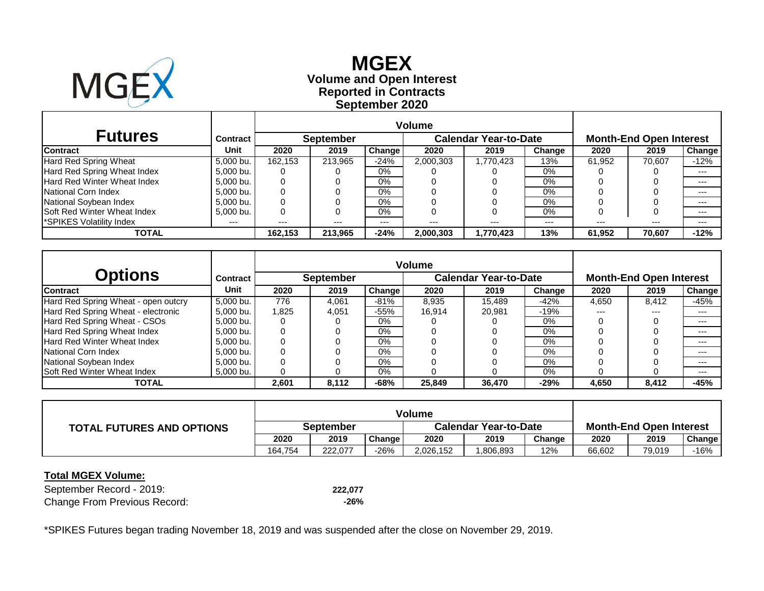

# **Reported in Contracts Volume and Open Interest MGEX September 2020**

| <b>Futures</b>                     | Contract  |         | <b>September</b> |               |           | <b>Calendar Year-to-Date</b> |        | <b>Month-End Open Interest</b> |        |         |  |
|------------------------------------|-----------|---------|------------------|---------------|-----------|------------------------------|--------|--------------------------------|--------|---------|--|
| <b>Contract</b>                    | Unit      | 2020    | 2019             | <b>Change</b> | 2020      | 2019                         | Change | 2020                           | 2019   | Change  |  |
| Hard Red Spring Wheat              | 5,000 bu. | 162.153 | 213.965          | $-24%$        | 2,000,303 | 1,770,423                    | 13%    | 61.952                         | 70.607 | $-12%$  |  |
| Hard Red Spring Wheat Index        | 5.000 bu. |         |                  | $0\%$         |           |                              | $0\%$  |                                |        | $- - -$ |  |
| Hard Red Winter Wheat Index        | 5,000 bu. | 0       |                  | $0\%$         |           |                              | 0%     |                                |        | $---$   |  |
| National Corn Index                | 5,000 bu. |         |                  | 0%            |           |                              | 0%     |                                |        | $---$   |  |
| National Soybean Index             | 5.000 bu. | 0       |                  | 0%            |           |                              | $0\%$  |                                |        | $---$   |  |
| <b>Soft Red Winter Wheat Index</b> | 5.000 bu. | 0       |                  | 0%            |           |                              | 0%     |                                | 0      | $- - -$ |  |
| *SPIKES Volatility Index           | ---       | $---$   | $---$            | $---$         | $---$     | $---$                        | $---$  | $---$                          | $---$  | $---$   |  |
| TOTAL                              |           | 162.153 | 213.965          | $-24%$        | 2,000,303 | 1,770,423                    | 13%    | 61.952                         | 70.607 | $-12%$  |  |

| Options                             | <b>Contract</b> |       | <b>September</b> |               |        | <b>Calendar Year-to-Date</b> |        | <b>Month-End Open Interest</b> |       |               |  |
|-------------------------------------|-----------------|-------|------------------|---------------|--------|------------------------------|--------|--------------------------------|-------|---------------|--|
| <b>Contract</b>                     | <b>Unit</b>     | 2020  | 2019             | <b>Change</b> | 2020   | 2019                         | Change | 2020                           | 2019  | <b>Change</b> |  |
| Hard Red Spring Wheat - open outcry | 5,000 bu.       | 776   | 4,061            | $-81%$        | 8,935  | 15.489                       | $-42%$ | 4,650                          | 8,412 | $-45%$        |  |
| Hard Red Spring Wheat - electronic  | 5.000 bu.       | 1.825 | 4,051            | $-55%$        | 16.914 | 20.981                       | $-19%$ | ---                            | $---$ | $---$         |  |
| Hard Red Spring Wheat - CSOs        | 5,000 bu.       |       |                  | $0\%$         |        |                              | 0%     |                                |       | $---$         |  |
| Hard Red Spring Wheat Index         | 5.000 bu.       |       |                  | $0\%$         |        |                              | 0%     |                                |       | $---$         |  |
| <b>Hard Red Winter Wheat Index</b>  | 5.000 bu.       |       |                  | $0\%$         |        |                              | $0\%$  |                                |       | $---$         |  |
| National Corn Index                 | 5,000 bu.       |       |                  | $0\%$         |        |                              | $0\%$  |                                |       | $---$         |  |
| National Soybean Index              | 5,000 bu.       |       |                  | $0\%$         |        |                              | 0%     |                                |       | $---$         |  |
| Soft Red Winter Wheat Index         | 5,000 bu.       |       |                  | $0\%$         |        |                              | 0%     |                                |       | $---$         |  |
| <b>TOTAL</b>                        |                 | 2.601 | 8,112            | $-68%$        | 25,849 | 36.470                       | $-29%$ | 4.650                          | 8.412 | $-45%$        |  |

|                                  |                  |         |               | Volume                       |          |        |                                |        |        |
|----------------------------------|------------------|---------|---------------|------------------------------|----------|--------|--------------------------------|--------|--------|
| <b>TOTAL FUTURES AND OPTIONS</b> | <b>September</b> |         |               | <b>Calendar Year-to-Date</b> |          |        | <b>Month-End Open Interest</b> |        |        |
|                                  | 2020             | 2019    | <b>Change</b> | 2020                         | 2019     | Change | 2020                           | 2019   | Change |
|                                  | 164.754          | 222.077 | $-26%$        | 2,026,152                    | .806,893 | 12%    | 66,602                         | 79,019 | -16%   |

### **Total MGEX Volume:**

September Record - 2019: **222,077** Change From Previous Record: **-26%**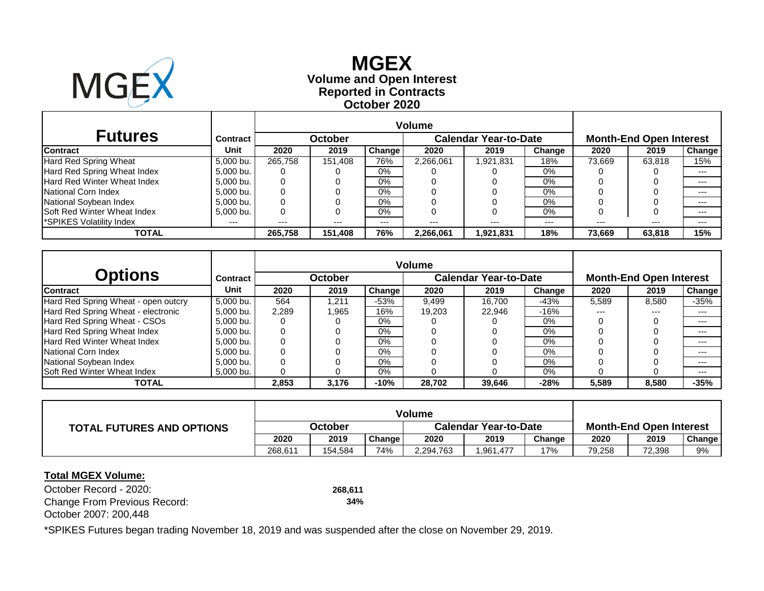

# **Reported in Contracts Volume and Open Interest MGEX October 2020**

| <b>Futures</b>                     | Contract  |         | <b>October</b> |               |           | <b>Calendar Year-to-Date</b> | <b>Month-End Open Interest</b> |        |        |         |
|------------------------------------|-----------|---------|----------------|---------------|-----------|------------------------------|--------------------------------|--------|--------|---------|
| <b>Contract</b>                    | Unit      | 2020    | 2019           | <b>Change</b> | 2020      | 2019                         | Change                         | 2020   | 2019   | Change  |
| Hard Red Spring Wheat              | 5,000 bu. | 265.758 | 151.408        | 76%           | 2,266,061 | 921,831                      | 18%                            | 73.669 | 63.818 | 15%     |
| Hard Red Spring Wheat Index        | 5,000 bu. | 0       |                | $0\%$         |           |                              | $0\%$                          |        |        | $- - -$ |
| Hard Red Winter Wheat Index        | 5,000 bu. | 0       |                | 0%            |           |                              | 0%                             |        |        | $- - -$ |
| National Corn Index                | 5,000 bu. | 0       |                | 0%            |           |                              | 0%                             |        |        | $---$   |
| National Soybean Index             | 5.000 bu. | 0       |                | 0%            |           |                              | 0%                             |        |        | $- - -$ |
| <b>Soft Red Winter Wheat Index</b> | 5,000 bu. | 0       |                | 0%            |           |                              | $0\%$                          |        | O      | $---$   |
| *SPIKES Volatility Index           | $---$     | $---$   | $---$          | $---$         | ---       | $---$                        | $---$                          | ---    | $---$  | $---$   |
| TOTAL                              |           | 265.758 | 151,408        | 76%           | 2,266,061 | 921,831                      | 18%                            | 73,669 | 63,818 | 15%     |

| <b>Options</b>                      | <b>Contract</b> |       | October |        |        | <b>Calendar Year-to-Date</b> |        | <b>Month-End Open Interest</b> |       |        |  |
|-------------------------------------|-----------------|-------|---------|--------|--------|------------------------------|--------|--------------------------------|-------|--------|--|
| <b>Contract</b>                     | Unit            | 2020  | 2019    | Change | 2020   | 2019                         | Change | 2020                           | 2019  | Change |  |
| Hard Red Spring Wheat - open outcry | 5,000 bu.       | 564   | ,211    | $-53%$ | 9,499  | 16.700                       | -43%   | 5,589                          | 8,580 | $-35%$ |  |
| Hard Red Spring Wheat - electronic  | 5,000 bu.       | 2,289 | .965    | 16%    | 19,203 | 22.946                       | $-16%$ | $---$                          | $---$ | $--$   |  |
| Hard Red Spring Wheat - CSOs        | 5,000 bu.       |       |         | $0\%$  |        |                              | 0%     |                                |       | $---$  |  |
| Hard Red Spring Wheat Index         | 5,000 bu.       |       |         | 0%     |        |                              | 0%     |                                |       | $---$  |  |
| <b>Hard Red Winter Wheat Index</b>  | 5.000 bu.       |       |         | $0\%$  |        |                              | $0\%$  |                                |       | $---$  |  |
| National Corn Index                 | 5,000 bu.       |       |         | 0%     |        |                              | 0%     |                                |       | $---$  |  |
| National Soybean Index              | 5,000 bu.       |       |         | $0\%$  |        |                              | 0%     |                                |       | $---$  |  |
| <b>Soft Red Winter Wheat Index</b>  | 5,000 bu.       |       |         | $0\%$  |        |                              | 0%     |                                |       | $---$  |  |
| <b>TOTAL</b>                        |                 | 2,853 | 3,176   | $-10%$ | 28,702 | 39.646                       | $-28%$ | 5,589                          | 8,580 | -35%   |  |

| <b>TOTAL FUTURES AND OPTIONS</b> | October |         |        | <b>Calendar Year-to-Date</b> |          |        | <b>Month-End Open Interest</b> |        |        |
|----------------------------------|---------|---------|--------|------------------------------|----------|--------|--------------------------------|--------|--------|
|                                  | 2020    | 2019    | Change | 2020                         | 2019     | Change | 2020                           | 2019   | Change |
|                                  | 268.611 | 154,584 | 74%    | 2,294,763                    | .961,477 | 17%    | 79,258                         | 72,398 | 9%     |

### **Total MGEX Volume:**

October Record - 2020: **268,611** Change From Previous Record: **34%** October 2007: 200,448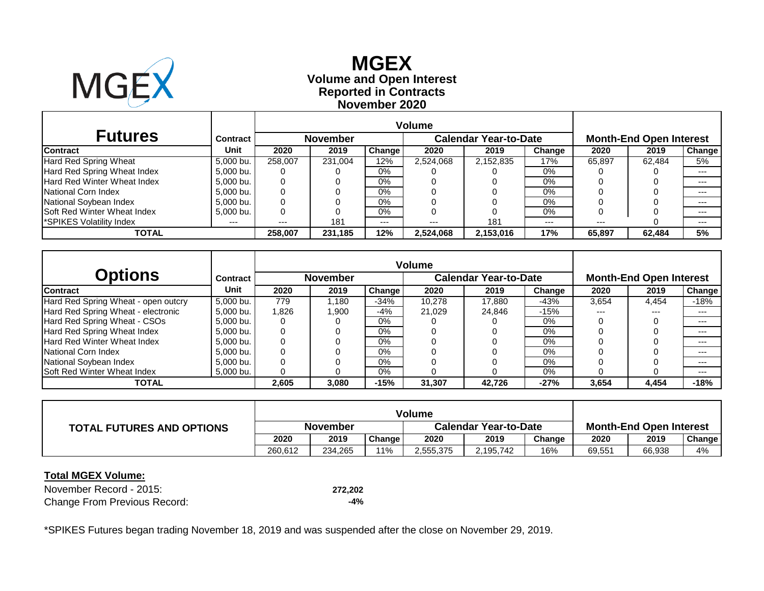

# **Reported in Contracts Volume and Open Interest MGEX November 2020**

| <b>Futures</b>                     | <b>Contract</b> |          | <b>November</b> |               |           | <b>Calendar Year-to-Date</b> |        | <b>Month-End Open Interest</b> |        |         |  |
|------------------------------------|-----------------|----------|-----------------|---------------|-----------|------------------------------|--------|--------------------------------|--------|---------|--|
| <b>Contract</b>                    | Unit            | 2020     | 2019            | <b>Change</b> | 2020      | 2019                         | Change | 2020                           | 2019   | Change  |  |
| Hard Red Spring Wheat              | 5,000 bu.       | 258,007  | 231.004         | 12%           | 2,524,068 | 2,152,835                    | 17%    | 65.897                         | 62.484 | 5%      |  |
| Hard Red Spring Wheat Index        | 5,000 bu.       | O        |                 | $0\%$         |           |                              | $0\%$  |                                |        |         |  |
| Hard Red Winter Wheat Index        | 5,000 bu.       | $\Omega$ |                 | 0%            |           |                              | 0%     |                                |        | $- - -$ |  |
| National Corn Index                | 5,000 bu.       | 0        |                 | 0%            |           |                              | 0%     |                                |        | $---$   |  |
| National Soybean Index             | 5.000 bu.       |          |                 | 0%            |           |                              | 0%     |                                |        | $- - -$ |  |
| <b>Soft Red Winter Wheat Index</b> | 5,000 bu.       | 0        |                 | 0%            |           |                              | $0\%$  |                                |        | $---$   |  |
| *SPIKES Volatility Index           | $---$           | $---$    | 181             | $---$         | ---       | 181                          | $---$  | $---$                          |        | $---$   |  |
| TOTAL                              |                 | 258,007  | 231,185         | 12%           | 2.524.068 | 2,153,016                    | 17%    | 65,897                         | 62.484 | 5%      |  |

|                                     |           |       |                 |               | <b>Volume</b> |                              |        |                                |       |               |  |
|-------------------------------------|-----------|-------|-----------------|---------------|---------------|------------------------------|--------|--------------------------------|-------|---------------|--|
| <b>Options</b>                      | Contract  |       | <b>November</b> |               |               | <b>Calendar Year-to-Date</b> |        | <b>Month-End Open Interest</b> |       |               |  |
| <b>Contract</b>                     | Unit      | 2020  | 2019            | <b>Change</b> | 2020          | 2019                         | Change | 2020                           | 2019  | <b>Change</b> |  |
| Hard Red Spring Wheat - open outcry | 5.000 bu. | 779   | .180            | $-34%$        | 10,278        | 17.880                       | -43%   | 3,654                          | 4,454 | $-18%$        |  |
| Hard Red Spring Wheat - electronic  | 5,000 bu. | 1.826 | .900            | -4%           | 21.029        | 24.846                       | $-15%$ | ---                            | $---$ | $---$         |  |
| Hard Red Spring Wheat - CSOs        | 5,000 bu. |       |                 | $0\%$         |               |                              | 0%     |                                |       | $---$         |  |
| Hard Red Spring Wheat Index         | 5,000 bu. |       |                 | $0\%$         |               |                              | 0%     |                                |       | $---$         |  |
| Hard Red Winter Wheat Index         | 5.000 bu. |       |                 | 0%            |               |                              | $0\%$  |                                |       | $--$          |  |
| National Corn Index                 | 5,000 bu. |       |                 | 0%            |               |                              | 0%     |                                |       | $---$         |  |
| National Soybean Index              | 5,000 bu. |       |                 | $0\%$         |               |                              | 0%     |                                |       | $---$         |  |
| <b>Soft Red Winter Wheat Index</b>  | 5,000 bu. |       |                 | $0\%$         |               |                              | 0%     |                                |       | $---$         |  |
| <b>TOTAL</b>                        |           | 2,605 | 3,080           | -15%          | 31,307        | 42,726                       | $-27%$ | 3,654                          | 4,454 | $-18%$        |  |

| <b>TOTAL FUTURES AND OPTIONS</b> | November |         |                     | <b>Calendar Year-to-Date</b> |           |        | <b>Month-End Open Interest</b> |        |        |
|----------------------------------|----------|---------|---------------------|------------------------------|-----------|--------|--------------------------------|--------|--------|
|                                  | 2020     | 2019    | Change <sub>1</sub> | 2020                         | 2019      | Change | 2020                           | 2019   | Change |
|                                  | 260.612  | 234.265 | 11%                 | 2,555,375                    | 2,195,742 | 16%    | 69,551                         | 66,938 | 4%     |

#### **Total MGEX Volume:**

November Record - 2015: **272,202** Change From Previous Record: **-4%**